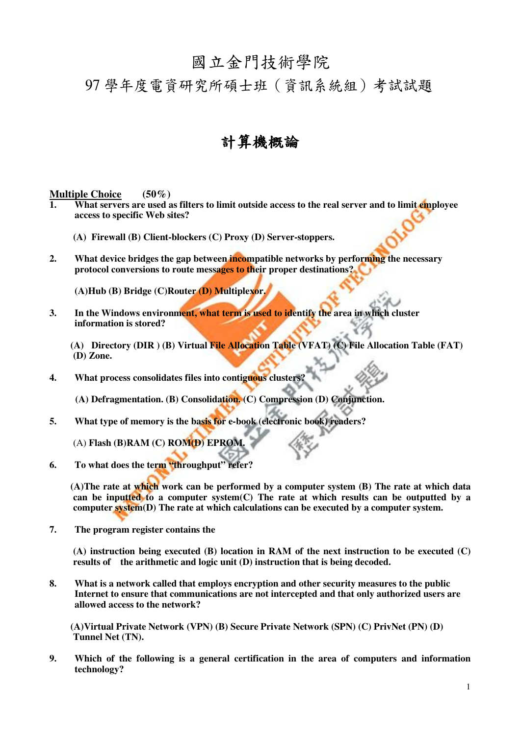## 國立金門技術學院

97 學年度電資研究所碩士班(資訊系統組)考試試題

## 計算機概論

## **Multiple Choice (50%)**

- **1. What servers are used as filters to limit outside access to the real server and to limit employee access to specific Web sites?** 
	- **(A) Firewall (B) Client-blockers (C) Proxy (D) Server-stoppers.**
- **2. What device bridges the gap between incompatible networks by performing the necessary protocol conversions to route messages to their proper destinations?**

**(A)Hub (B) Bridge (C)Router (D) Multiplexor.** 

- **3. In the Windows environment, what term is used to identify the area in which cluster information is stored?** 
	- **(A) Directory (DIR ) (B) Virtual File Allocation Table (VFAT) (C) File Allocation Table (FAT) (D) Zone.**
- **4. What process consolidates files into contiguous clusters?**

 **(A) Defragmentation. (B) Consolidation. (C) Compression (D) Conjunction.** 

**5. What type of memory is the basis for e-book (electronic book) readers?** 

(A) **Flash (B)RAM (C) ROM(D) EPROM.**

**6. To what does the term "throughput" refer?** 

**(A)The rate at which work can be performed by a computer system (B) The rate at which data can be inputted to a computer system(C) The rate at which results can be outputted by a computer system(D) The rate at which calculations can be executed by a computer system.** 

**7. The program register contains the** 

**(A) instruction being executed (B) location in RAM of the next instruction to be executed (C) results of the arithmetic and logic unit (D) instruction that is being decoded.** 

**8. What is a network called that employs encryption and other security measures to the public Internet to ensure that communications are not intercepted and that only authorized users are allowed access to the network?** 

**(A)Virtual Private Network (VPN) (B) Secure Private Network (SPN) (C) PrivNet (PN) (D) Tunnel Net (TN).** 

**9. Which of the following is a general certification in the area of computers and information technology?**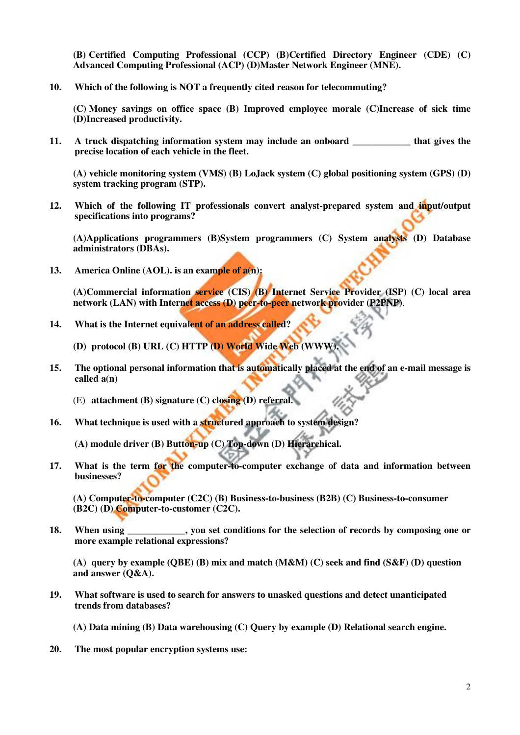**(B) Certified Computing Professional (CCP) (B)Certified Directory Engineer (CDE) (C) Advanced Computing Professional (ACP) (D)Master Network Engineer (MNE).** 

**10. Which of the following is NOT a frequently cited reason for telecommuting?** 

**(C) Money savings on office space (B) Improved employee morale (C)Increase of sick time (D)Increased productivity.** 

**11. A truck dispatching information system may include an onboard \_\_\_\_\_\_\_\_\_\_\_\_ that gives the precise location of each vehicle in the fleet.** 

**(A) vehicle monitoring system (VMS) (B) LoJack system (C) global positioning system (GPS) (D) system tracking program (STP).** 

**12. Which of the following IT professionals convert analyst-prepared system and input/output specifications into programs?** 

**(A)Applications programmers (B)System programmers (C) System analysts (D) Database administrators (DBAs).** 

**13. America Online (AOL). is an example of a(n):** 

**(A)Commercial information service (CIS) (B) Internet Service Provider (ISP) (C) local area network (LAN) with Internet access (D) peer-to-peer network provider (P2PNP)**.

**14. What is the Internet equivalent of an address called?** 

**(D) protocol (B) URL (C) HTTP (D) World Wide Web (WWW).** 

**15. The optional personal information that is automatically placed at the end of an e-mail message is called a(n)** 

(E) **attachment (B) signature (C) closing (D) referral.**

**16. What technique is used with a structured approach to system design?** 

**(A) module driver (B) Button-up (C) Top-down (D) Hierarchical.** 

**17. What is the term for the computer-to-computer exchange of data and information between businesses?** 

**(A) Computer-to-computer (C2C) (B) Business-to-business (B2B) (C) Business-to-consumer (B2C) (D) Computer-to-customer (C2C).** 

**18. When using \_\_\_\_\_\_\_\_\_\_\_\_, you set conditions for the selection of records by composing one or more example relational expressions?** 

**(A) query by example (QBE) (B) mix and match (M&M) (C) seek and find (S&F) (D) question and answer (Q&A).** 

**19. What software is used to search for answers to unasked questions and detect unanticipated trends from databases?** 

**(A) Data mining (B) Data warehousing (C) Query by example (D) Relational search engine.** 

**20. The most popular encryption systems use:**